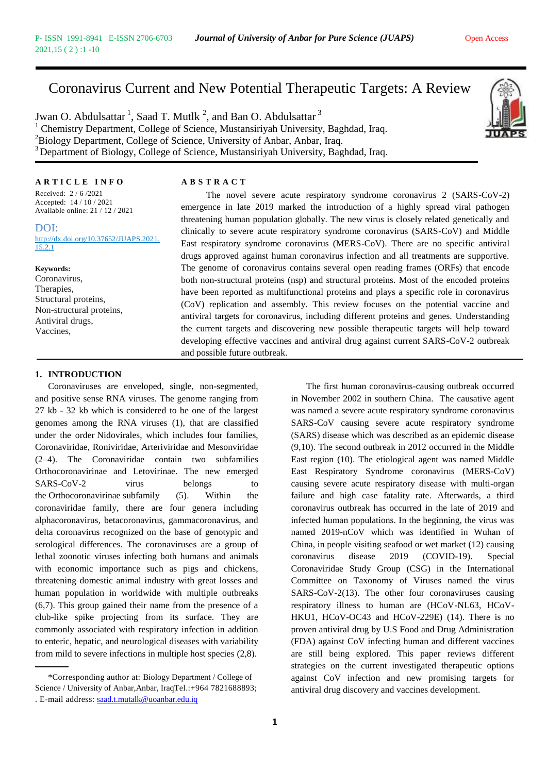### Coronavirus Current and New Potential Therapeutic Targets: A Review

Jwan O. Abdulsattar  $^1$ , Saad T. Mutlk  $^2$ , and Ban O. Abdulsattar  $^3$ <sup>1</sup> Chemistry Department, College of Science, Mustansiriyah University, Baghdad, Iraq. <sup>2</sup>Biology Department, College of Science, University of Anbar, Anbar, Iraq. <sup>3</sup>Department of Biology, College of Science, Mustansiriyah University, Baghdad, Iraq.



### **A R T I C L E I N F O A B S T R A C T**

Received: 2 / 6 /2021 Accepted: 14 / 10 / 2021 Available online: 21 / 12 / 2021

DOI: http://dx.doi.org/10.37652/JUAPS.2021. 15.2.1

#### **Keywords:**

Coronavirus, Therapies, Structural proteins, Non-structural proteins, Antiviral drugs, Vaccines,

The novel severe acute respiratory syndrome coronavirus 2 (SARS-CoV-2) emergence in late 2019 marked the introduction of a highly spread viral pathogen threatening human population globally. The new virus is closely related genetically and clinically to severe acute respiratory syndrome coronavirus (SARS-CoV) and Middle East respiratory syndrome coronavirus (MERS-CoV). There are no specific antiviral drugs approved against human coronavirus infection and all treatments are supportive. The genome of coronavirus contains several open reading frames (ORFs) that encode both non-structural proteins (nsp) and structural proteins. Most of the encoded proteins have been reported as multifunctional proteins and plays a specific role in coronavirus (CoV) replication and assembly. This review focuses on the potential vaccine and antiviral targets for coronavirus, including different proteins and genes. Understanding the current targets and discovering new possible therapeutic targets will help toward developing effective vaccines and antiviral drug against current SARS-CoV-2 outbreak and possible future outbreak.

### **1. INTRODUCTION**

Coronaviruses are enveloped, single, non-segmented, and positive sense RNA viruses. The genome ranging from 27 kb - 32 kb which is considered to be one of the largest genomes among the RNA viruses (1), that are classified under the order Nidovirales, which includes four families, Coronaviridae, Roniviridae, Arteriviridae and Mesonviridae (2–4). The Coronaviridae contain two subfamilies Orthocoronavirinae and Letovirinae. The new emerged SARS-CoV-2 virus belongs to the Orthocoronavirinae subfamily (5). Within the coronaviridae family, there are four genera including alphacoronavirus, betacoronavirus, gammacoronavirus, and delta coronavirus recognized on the base of genotypic and serological differences. The coronaviruses are a group of lethal zoonotic viruses infecting both humans and animals with economic importance such as pigs and chickens, threatening domestic animal industry with great losses and human population in worldwide with multiple outbreaks (6,7). This group gained their name from the presence of a club-like spike projecting from its surface. They are commonly associated with respiratory infection in addition to enteric, hepatic, and neurological diseases with variability from mild to severe infections in multiple host species (2,8).

\*Corresponding author at: Biology Department / College of Science / University of Anbar, Anbar, IraqTel.:+964 7821688893; . E-mail address: [saad.t.mutalk@uoanbar.edu.iq](mailto:10606@uotechnology.edu.iq)

The first human coronavirus-causing outbreak occurred in November 2002 in southern China. The causative agent was named a severe acute respiratory syndrome coronavirus SARS-CoV causing severe acute respiratory syndrome (SARS) disease which was described as an epidemic disease (9,10). The second outbreak in 2012 occurred in the Middle East region (10). The etiological agent was named Middle East Respiratory Syndrome coronavirus (MERS-CoV) causing severe acute respiratory disease with multi-organ failure and high case fatality rate. Afterwards, a third coronavirus outbreak has occurred in the late of 2019 and infected human populations. In the beginning, the virus was named 2019-nCoV which was identified in Wuhan of China, in people visiting seafood or wet market (12) causing coronavirus disease 2019 (COVID-19). Special Coronaviridae Study Group (CSG) in the International Committee on Taxonomy of Viruses named the virus SARS-CoV-2(13). The other four coronaviruses causing respiratory illness to human are (HCoV-NL63, HCoV-HKU1, HCoV-OC43 and HCoV-229E) (14). There is no proven antiviral drug by U.S Food and Drug Administration (FDA) against CoV infecting human and different vaccines are still being explored. This paper reviews different strategies on the current investigated therapeutic options against CoV infection and new promising targets for antiviral drug discovery and vaccines development.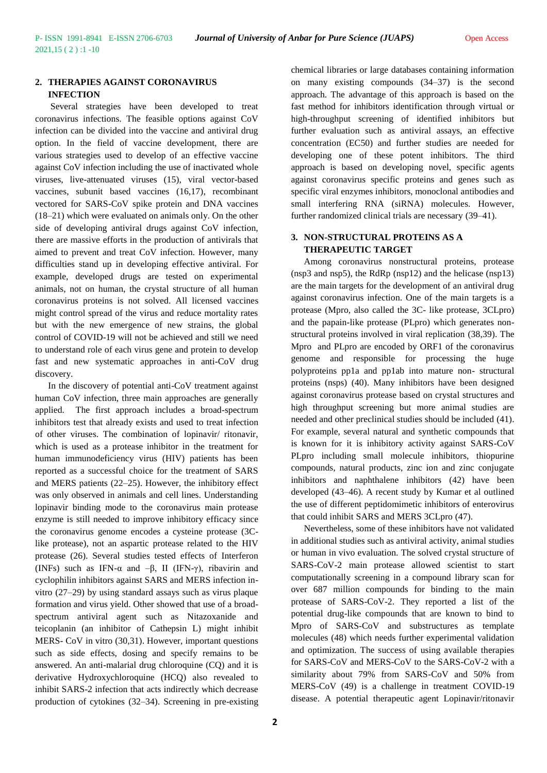### **2. THERAPIES AGAINST CORONAVIRUS INFECTION**

Several strategies have been developed to treat coronavirus infections. The feasible options against CoV infection can be divided into the vaccine and antiviral drug option. In the field of vaccine development, there are various strategies used to develop of an effective vaccine against CoV infection including the use of inactivated whole viruses, live-attenuated viruses (15), viral vector-based vaccines, subunit based vaccines (16,17), recombinant vectored for SARS-CoV spike protein and DNA vaccines (18–21) which were evaluated on animals only. On the other side of developing antiviral drugs against CoV infection, there are massive efforts in the production of antivirals that aimed to prevent and treat CoV infection. However, many difficulties stand up in developing effective antiviral. For example, developed drugs are tested on experimental animals, not on human, the crystal structure of all human coronavirus proteins is not solved. All licensed vaccines might control spread of the virus and reduce mortality rates but with the new emergence of new strains, the global control of COVID-19 will not be achieved and still we need to understand role of each virus gene and protein to develop fast and new systematic approaches in anti-CoV drug discovery.

In the discovery of potential anti-CoV treatment against human CoV infection, three main approaches are generally applied. The first approach includes a broad-spectrum inhibitors test that already exists and used to treat infection of other viruses. The combination of lopinavir/ ritonavir, which is used as a protease inhibitor in the treatment for human immunodeficiency virus (HIV) patients has been reported as a successful choice for the treatment of SARS and MERS patients (22–25). However, the inhibitory effect was only observed in animals and cell lines. Understanding lopinavir binding mode to the coronavirus main protease enzyme is still needed to improve inhibitory efficacy since the coronavirus genome encodes a cysteine protease (3Clike protease), not an aspartic protease related to the HIV protease (26). Several studies tested effects of Interferon (INFs) such as IFN- $\alpha$  and  $-\beta$ , II (IFN- $\gamma$ ), ribavirin and cyclophilin inhibitors against SARS and MERS infection invitro (27–29) by using standard assays such as virus plaque formation and virus yield. Other showed that use of a broadspectrum antiviral agent such as Nitazoxanide and teicoplanin (an inhibitor of Cathepsin L) might inhibit MERS- CoV in vitro (30,31). However, important questions such as side effects, dosing and specify remains to be answered. An anti-malarial drug chloroquine (CQ) and it is derivative Hydroxychloroquine (HCQ) also revealed to inhibit SARS-2 infection that acts indirectly which decrease production of cytokines (32–34). Screening in pre-existing

chemical libraries or large databases containing information on many existing compounds (34–37) is the second approach. The advantage of this approach is based on the fast method for inhibitors identification through virtual or high-throughput screening of identified inhibitors but further evaluation such as antiviral assays, an effective concentration (EC50) and further studies are needed for developing one of these potent inhibitors. The third approach is based on developing novel, specific agents against coronavirus specific proteins and genes such as specific viral enzymes inhibitors, monoclonal antibodies and small interfering RNA (siRNA) molecules. However, further randomized clinical trials are necessary (39–41).

### **3. NON-STRUCTURAL PROTEINS AS A THERAPEUTIC TARGET**

Among coronavirus nonstructural proteins, protease (nsp3 and nsp5), the RdRp (nsp12) and the helicase (nsp13) are the main targets for the development of an antiviral drug against coronavirus infection. One of the main targets is a protease (Mpro, also called the 3C- like protease, 3CLpro) and the papain-like protease (PLpro) which generates nonstructural proteins involved in viral replication (38,39). The Mpro and PLpro are encoded by ORF1 of the coronavirus genome and responsible for processing the huge polyproteins pp1a and pp1ab into mature non- structural proteins (nsps) (40). Many inhibitors have been designed against coronavirus protease based on crystal structures and high throughput screening but more animal studies are needed and other preclinical studies should be included (41). For example, several natural and synthetic compounds that is known for it is inhibitory activity against SARS-CoV PLpro including small molecule inhibitors, thiopurine compounds, natural products, zinc ion and zinc conjugate inhibitors and naphthalene inhibitors (42) have been developed (43–46). A recent study by Kumar et al outlined the use of different peptidomimetic inhibitors of enterovirus that could inhibit SARS and MERS 3CLpro (47).

Nevertheless, some of these inhibitors have not validated in additional studies such as antiviral activity, animal studies or human in vivo evaluation. The solved crystal structure of SARS-CoV-2 main protease allowed scientist to start computationally screening in a compound library scan for over 687 million compounds for binding to the main protease of SARS-CoV-2. They reported a list of the potential drug-like compounds that are known to bind to Mpro of SARS-CoV and substructures as template molecules (48) which needs further experimental validation and optimization. The success of using available therapies for SARS-CoV and MERS-CoV to the SARS-CoV-2 with a similarity about 79% from SARS-CoV and 50% from MERS-CoV (49) is a challenge in treatment COVID-19 disease. A potential therapeutic agent Lopinavir/ritonavir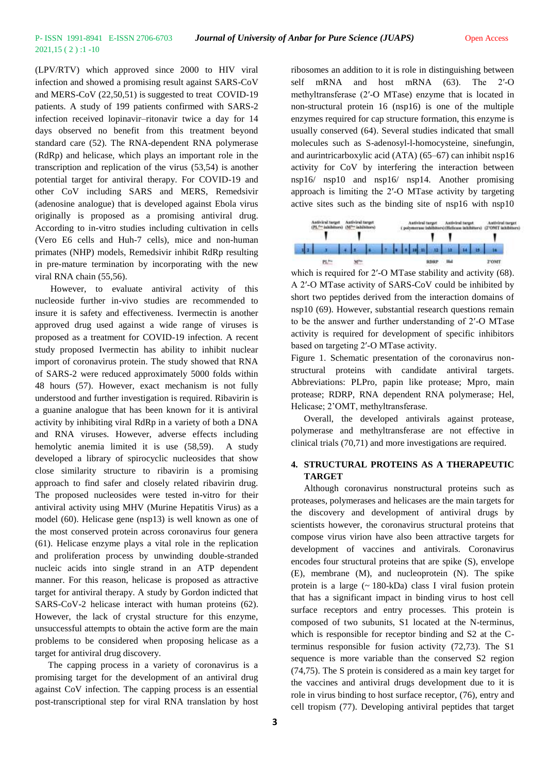## 2021,15 ( 2 ) :1 -10

(LPV/RTV) which approved since 2000 to HIV viral infection and showed a promising result against SARS-CoV and MERS-CoV (22,50,51) is suggested to treat COVID-19 patients. A study of 199 patients confirmed with SARS-2 infection received lopinavir–ritonavir twice a day for 14 days observed no benefit from this treatment beyond standard care (52). The RNA-dependent RNA polymerase (RdRp) and helicase, which plays an important role in the transcription and replication of the virus (53,54) is another potential target for antiviral therapy. For COVID-19 and other CoV including SARS and MERS, Remedsivir (adenosine analogue) that is developed against Ebola virus originally is proposed as a promising antiviral drug. According to in-vitro studies including cultivation in cells (Vero E6 cells and Huh-7 cells), mice and non-human primates (NHP) models, Remedsivir inhibit RdRp resulting in pre-mature termination by incorporating with the new viral RNA chain (55,56).

However, to evaluate antiviral activity of this nucleoside further in-vivo studies are recommended to insure it is safety and effectiveness. Ivermectin is another approved drug used against a wide range of viruses is proposed as a treatment for COVID-19 infection. A recent study proposed Ivermectin has ability to inhibit nuclear import of coronavirus protein. The study showed that RNA of SARS-2 were reduced approximately 5000 folds within 48 hours (57). However, exact mechanism is not fully understood and further investigation is required. Ribavirin is a guanine analogue that has been known for it is antiviral activity by inhibiting viral RdRp in a variety of both a DNA and RNA viruses. However, adverse effects including hemolytic anemia limited it is use (58,59). A study developed a library of spirocyclic nucleosides that show close similarity structure to ribavirin is a promising approach to find safer and closely related ribavirin drug. The proposed nucleosides were tested in-vitro for their antiviral activity using MHV (Murine Hepatitis Virus) as a model (60). Helicase gene (nsp13) is well known as one of the most conserved protein across coronavirus four genera (61). Helicase enzyme plays a vital role in the replication and proliferation process by unwinding double-stranded nucleic acids into single strand in an ATP dependent manner. For this reason, helicase is proposed as attractive target for antiviral therapy. A study by Gordon indicted that SARS-CoV-2 helicase interact with human proteins (62). However, the lack of crystal structure for this enzyme, unsuccessful attempts to obtain the active form are the main problems to be considered when proposing helicase as a target for antiviral drug discovery.

The capping process in a variety of coronavirus is a promising target for the development of an antiviral drug against CoV infection. The capping process is an essential post-transcriptional step for viral RNA translation by host ribosomes an addition to it is role in distinguishing between self mRNA and host mRNA (63). The 2'-O methyltransferase (2′-O MTase) enzyme that is located in non-structural protein 16 (nsp16) is one of the multiple enzymes required for cap structure formation, this enzyme is usually conserved (64). Several studies indicated that small molecules such as S-adenosyl-l-homocysteine, sinefungin, and aurintricarboxylic acid (ATA) (65–67) can inhibit nsp16 activity for CoV by interfering the interaction between nsp16/ nsp10 and nsp16/ nsp14. Another promising approach is limiting the 2′-O MTase activity by targeting active sites such as the binding site of nsp16 with nsp10



which is required for 2'-O MTase stability and activity (68). A 2′-O MTase activity of SARS-CoV could be inhibited by short two peptides derived from the interaction domains of nsp10 (69). However, substantial research questions remain to be the answer and further understanding of 2′-O MTase activity is required for development of specific inhibitors based on targeting 2′-O MTase activity.

Figure 1. Schematic presentation of the coronavirus nonstructural proteins with candidate antiviral targets. Abbreviations: PLPro, papin like protease; Mpro, main protease; RDRP, RNA dependent RNA polymerase; Hel, Helicase; 2'OMT, methyltransferase.

Overall, the developed antivirals against protease, polymerase and methyltransferase are not effective in clinical trials (70,71) and more investigations are required.

### **4. STRUCTURAL PROTEINS AS A THERAPEUTIC TARGET**

Although coronavirus nonstructural proteins such as proteases, polymerases and helicases are the main targets for the discovery and development of antiviral drugs by scientists however, the coronavirus structural proteins that compose virus virion have also been attractive targets for development of vaccines and antivirals. Coronavirus encodes four structural proteins that are spike (S), envelope (E), membrane (M), and nucleoprotein (N). The spike protein is a large (~ 180-kDa) class I viral fusion protein that has a significant impact in binding virus to host cell surface receptors and entry processes. This protein is composed of two subunits, S1 located at the N-terminus, which is responsible for receptor binding and S2 at the Cterminus responsible for fusion activity (72,73). The S1 sequence is more variable than the conserved S2 region (74,75). The S protein is considered as a main key target for the vaccines and antiviral drugs development due to it is role in virus binding to host surface receptor, (76), entry and cell tropism (77). Developing antiviral peptides that target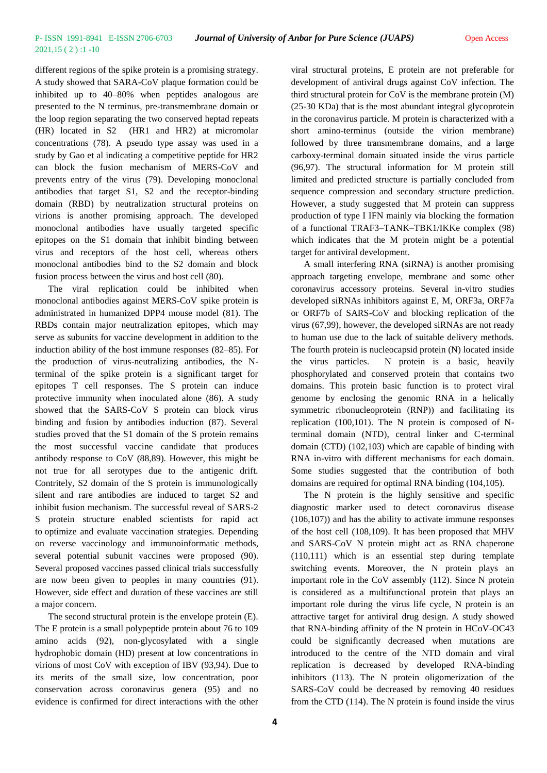different regions of the spike protein is a promising strategy. A study showed that SARA-CoV plaque formation could be inhibited up to 40–80% when peptides analogous are presented to the N terminus, pre-transmembrane domain or the loop region separating the two conserved heptad repeats (HR) located in S2 (HR1 and HR2) at micromolar concentrations (78). A pseudo type assay was used in a study by Gao et al indicating a competitive peptide for HR2 can block the fusion mechanism of MERS-CoV and prevents entry of the virus (79). Developing monoclonal antibodies that target S1, S2 and the receptor-binding domain (RBD) by neutralization structural proteins on virions is another promising approach. The developed monoclonal antibodies have usually targeted specific epitopes on the S1 domain that inhibit binding between virus and receptors of the host cell, whereas others monoclonal antibodies bind to the S2 domain and block fusion process between the virus and host cell (80).

The viral replication could be inhibited when monoclonal antibodies against MERS-CoV spike protein is administrated in humanized DPP4 mouse model (81). The RBDs contain major neutralization epitopes, which may serve as subunits for vaccine development in addition to the induction ability of the host immune responses (82–85). For the production of virus-neutralizing antibodies, the Nterminal of the spike protein is a significant target for epitopes T cell responses. The S protein can induce protective immunity when inoculated alone (86). A study showed that the SARS-CoV S protein can block virus binding and fusion by antibodies induction (87). Several studies proved that the S1 domain of the S protein remains the most successful vaccine candidate that produces antibody response to CoV (88,89). However, this might be not true for all serotypes due to the antigenic drift. Contritely, S2 domain of the S protein is immunologically silent and rare antibodies are induced to target S2 and inhibit fusion mechanism. The successful reveal of SARS-2 S protein structure enabled scientists for rapid act to optimize and evaluate vaccination strategies. Depending on reverse vaccinology and immunoinformatic methods, several potential subunit vaccines were proposed (90). Several proposed vaccines passed clinical trials successfully are now been given to peoples in many countries (91). However, side effect and duration of these vaccines are still a major concern.

The second structural protein is the envelope protein (E). The E protein is a small polypeptide protein about 76 to 109 amino acids (92), non-glycosylated with a single hydrophobic domain (HD) present at low concentrations in virions of most CoV with exception of IBV (93,94). Due to its merits of the small size, low concentration, poor conservation across coronavirus genera (95) and no evidence is confirmed for direct interactions with the other

viral structural proteins, E protein are not preferable for development of antiviral drugs against CoV infection. The third structural protein for CoV is the membrane protein (M) (25-30 KDa) that is the most abundant integral glycoprotein in the coronavirus particle. M protein is characterized with a short amino-terminus (outside the virion membrane) followed by three transmembrane domains, and a large carboxy-terminal domain situated inside the virus particle (96,97). The structural information for M protein still limited and predicted structure is partially concluded from sequence compression and secondary structure prediction. However, a study suggested that M protein can suppress production of type I IFN mainly via blocking the formation of a functional TRAF3–TANK–TBK1/IKKe complex (98) which indicates that the M protein might be a potential target for antiviral development.

A small interfering RNA (siRNA) is another promising approach targeting envelope, membrane and some other coronavirus accessory proteins. Several in-vitro studies developed siRNAs inhibitors against E, M, ORF3a, ORF7a or ORF7b of SARS-CoV and blocking replication of the virus (67,99), however, the developed siRNAs are not ready to human use due to the lack of suitable delivery methods. The fourth protein is nucleocapsid protein (N) located inside the virus particles. N protein is a basic, heavily phosphorylated and conserved protein that contains two domains. This protein basic function is to protect viral genome by enclosing the genomic RNA in a helically symmetric ribonucleoprotein (RNP)) and facilitating its replication (100,101). The N protein is composed of Nterminal domain (NTD), central linker and C-terminal domain (CTD) (102,103) which are capable of binding with RNA in-vitro with different mechanisms for each domain. Some studies suggested that the contribution of both domains are required for optimal RNA binding (104,105).

The N protein is the highly sensitive and specific diagnostic marker used to detect coronavirus disease (106,107)) and has the ability to activate immune responses of the host cell (108,109). It has been proposed that MHV and SARS-CoV N protein might act as RNA chaperone (110,111) which is an essential step during template switching events. Moreover, the N protein plays an important role in the CoV assembly (112). Since N protein is considered as a multifunctional protein that plays an important role during the virus life cycle, N protein is an attractive target for antiviral drug design. A study showed that RNA-binding affinity of the N protein in HCoV-OC43 could be significantly decreased when mutations are introduced to the centre of the NTD domain and viral replication is decreased by developed RNA-binding inhibitors (113). The N protein oligomerization of the SARS-CoV could be decreased by removing 40 residues from the CTD (114). The N protein is found inside the virus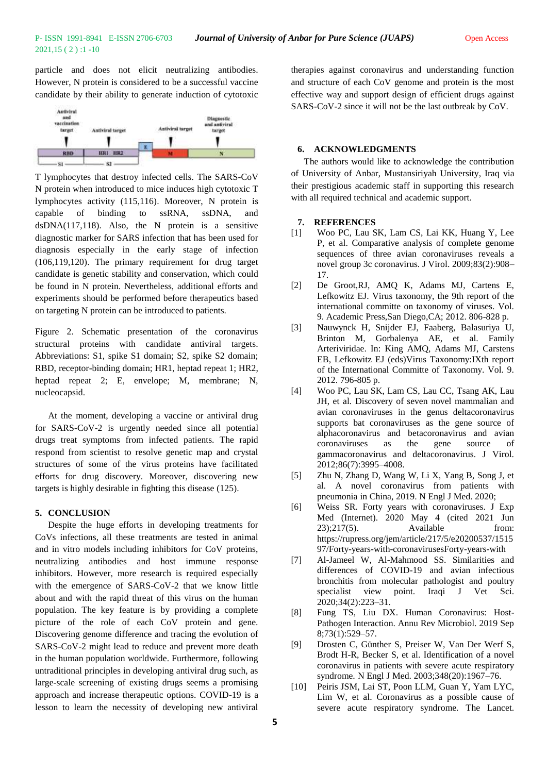2021,15 ( 2 ) :1 -10

particle and does not elicit neutralizing antibodies. However, N protein is considered to be a successful vaccine candidate by their ability to generate induction of cytotoxic



T lymphocytes that destroy infected cells. The SARS-CoV N protein when introduced to mice induces high cytotoxic T lymphocytes activity (115,116). Moreover, N protein is capable of binding to ssRNA, ssDNA, and dsDNA(117,118). Also, the N protein is a sensitive diagnostic marker for SARS infection that has been used for diagnosis especially in the early stage of infection (106,119,120). The primary requirement for drug target candidate is genetic stability and conservation, which could be found in N protein. Nevertheless, additional efforts and experiments should be performed before therapeutics based on targeting N protein can be introduced to patients.

Figure 2. Schematic presentation of the coronavirus structural proteins with candidate antiviral targets. Abbreviations: S1, spike S1 domain; S2, spike S2 domain; RBD, receptor-binding domain; HR1, heptad repeat 1; HR2, heptad repeat 2; E, envelope; M, membrane; N, nucleocapsid.

At the moment, developing a vaccine or antiviral drug for SARS-CoV-2 is urgently needed since all potential drugs treat symptoms from infected patients. The rapid respond from scientist to resolve genetic map and crystal structures of some of the virus proteins have facilitated efforts for drug discovery. Moreover, discovering new targets is highly desirable in fighting this disease (125).

### **5. CONCLUSION**

Despite the huge efforts in developing treatments for CoVs infections, all these treatments are tested in animal and in vitro models including inhibitors for CoV proteins, neutralizing antibodies and host immune response inhibitors. However, more research is required especially with the emergence of SARS-CoV-2 that we know little about and with the rapid threat of this virus on the human population. The key feature is by providing a complete picture of the role of each CoV protein and gene. Discovering genome difference and tracing the evolution of SARS-CoV-2 might lead to reduce and prevent more death in the human population worldwide. Furthermore, following untraditional principles in developing antiviral drug such, as large-scale screening of existing drugs seems a promising approach and increase therapeutic options. COVID-19 is a lesson to learn the necessity of developing new antiviral

therapies against coronavirus and understanding function and structure of each CoV genome and protein is the most effective way and support design of efficient drugs against SARS-CoV-2 since it will not be the last outbreak by CoV.

### **6. ACKNOWLEDGMENTS**

The authors would like to acknowledge the contribution of University of Anbar, Mustansiriyah University, Iraq via their prestigious academic staff in supporting this research with all required technical and academic support.

### **7. REFERENCES**

- [1] Woo PC, Lau SK, Lam CS, Lai KK, Huang Y, Lee P, et al. Comparative analysis of complete genome sequences of three avian coronaviruses reveals a novel group 3c coronavirus. J Virol. 2009;83(2):908– 17.
- [2] De Groot,RJ, AMQ K, Adams MJ, Cartens E, Lefkowitz EJ. Virus taxonomy, the 9th report of the international committe on taxonomy of viruses. Vol. 9. Academic Press,San Diego,CA; 2012. 806-828 p.
- [3] Nauwynck H, Snijder EJ, Faaberg, Balasuriya U, Brinton M, Gorbalenya AE, et al. Family Arteriviridae. In: King AMQ, Adams MJ, Carstens EB, Lefkowitz EJ (eds)Virus Taxonomy:IXth report of the International Committe of Taxonomy. Vol. 9. 2012. 796-805 p.
- [4] Woo PC, Lau SK, Lam CS, Lau CC, Tsang AK, Lau JH, et al. Discovery of seven novel mammalian and avian coronaviruses in the genus deltacoronavirus supports bat coronaviruses as the gene source of alphacoronavirus and betacoronavirus and avian coronaviruses as the gene source of gammacoronavirus and deltacoronavirus. J Virol. 2012;86(7):3995–4008.
- [5] Zhu N, Zhang D, Wang W, Li X, Yang B, Song J, et al. A novel coronavirus from patients with pneumonia in China, 2019. N Engl J Med. 2020;
- [6] Weiss SR. Forty years with coronaviruses. J Exp Med (Internet). 2020 May 4 (cited 2021 Jun 23);217(5). Available from: https://rupress.org/jem/article/217/5/e20200537/1515 97/Forty-years-with-coronavirusesForty-years-with
- [7] Al-Jameel W, Al-Mahmood SS. Similarities and differences of COVID-19 and avian infectious bronchitis from molecular pathologist and poultry specialist view point. Iraqi J Vet Sci. 2020;34(2):223–31.
- [8] Fung TS, Liu DX. Human Coronavirus: Host-Pathogen Interaction. Annu Rev Microbiol. 2019 Sep 8;73(1):529–57.
- [9] Drosten C, Günther S, Preiser W, Van Der Werf S, Brodt H-R, Becker S, et al. Identification of a novel coronavirus in patients with severe acute respiratory syndrome. N Engl J Med. 2003;348(20):1967–76.
- [10] Peiris JSM, Lai ST, Poon LLM, Guan Y, Yam LYC, Lim W, et al. Coronavirus as a possible cause of severe acute respiratory syndrome. The Lancet.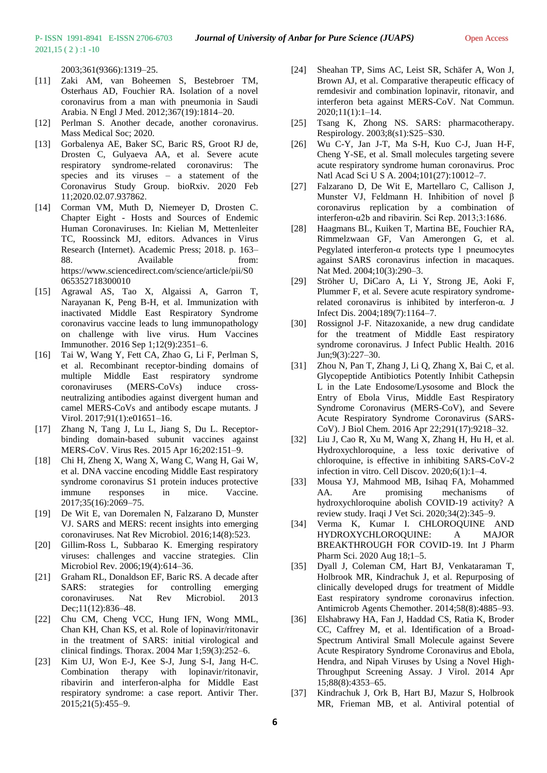2003;361(9366):1319–25.

- [11] Zaki AM, van Boheemen S, Bestebroer TM, Osterhaus AD, Fouchier RA. Isolation of a novel coronavirus from a man with pneumonia in Saudi Arabia. N Engl J Med. 2012;367(19):1814–20.
- [12] Perlman S. Another decade, another coronavirus. Mass Medical Soc; 2020.
- [13] Gorbalenya AE, Baker SC, Baric RS, Groot RJ de, Drosten C, Gulyaeva AA, et al. Severe acute respiratory syndrome-related coronavirus: The species and its viruses – a statement of the Coronavirus Study Group. bioRxiv. 2020 Feb 11;2020.02.07.937862.
- [14] Corman VM, Muth D, Niemeyer D, Drosten C. Chapter Eight - Hosts and Sources of Endemic Human Coronaviruses. In: Kielian M, Mettenleiter TC, Roossinck MJ, editors. Advances in Virus Research (Internet). Academic Press; 2018. p. 163– 88. Available from: https://www.sciencedirect.com/science/article/pii/S0 065352718300010
- [15] Agrawal AS, Tao X, Algaissi A, Garron T, Narayanan K, Peng B-H, et al. Immunization with inactivated Middle East Respiratory Syndrome coronavirus vaccine leads to lung immunopathology on challenge with live virus. Hum Vaccines Immunother. 2016 Sep 1;12(9):2351–6.
- [16] Tai W, Wang Y, Fett CA, Zhao G, Li F, Perlman S, et al. Recombinant receptor-binding domains of multiple Middle East respiratory syndrome coronaviruses (MERS-CoVs) induce crossneutralizing antibodies against divergent human and camel MERS-CoVs and antibody escape mutants. J Virol. 2017;91(1):e01651–16.
- [17] Zhang N, Tang J, Lu L, Jiang S, Du L. Receptorbinding domain-based subunit vaccines against MERS-CoV. Virus Res. 2015 Apr 16;202:151–9.
- [18] Chi H, Zheng X, Wang X, Wang C, Wang H, Gai W, et al. DNA vaccine encoding Middle East respiratory syndrome coronavirus S1 protein induces protective immune responses in mice. Vaccine. 2017;35(16):2069–75.
- [19] De Wit E, van Doremalen N, Falzarano D, Munster VJ. SARS and MERS: recent insights into emerging coronaviruses. Nat Rev Microbiol. 2016;14(8):523.
- [20] Gillim-Ross L, Subbarao K. Emerging respiratory viruses: challenges and vaccine strategies. Clin Microbiol Rev. 2006;19(4):614–36.
- [21] Graham RL, Donaldson EF, Baric RS. A decade after SARS: strategies for controlling emerging coronaviruses. Nat Rev Microbiol. 2013 Dec:11(12):836-48.
- [22] Chu CM, Cheng VCC, Hung IFN, Wong MML, Chan KH, Chan KS, et al. Role of lopinavir/ritonavir in the treatment of SARS: initial virological and clinical findings. Thorax. 2004 Mar 1;59(3):252–6.
- [23] Kim UJ, Won E-J, Kee S-J, Jung S-I, Jang H-C. Combination therapy with lopinavir/ritonavir, ribavirin and interferon-alpha for Middle East respiratory syndrome: a case report. Antivir Ther. 2015;21(5):455–9.
- [24] Sheahan TP, Sims AC, Leist SR, Schäfer A, Won J, Brown AJ, et al. Comparative therapeutic efficacy of remdesivir and combination lopinavir, ritonavir, and interferon beta against MERS-CoV. Nat Commun. 2020;11(1):1–14.
- [25] Tsang K, Zhong NS. SARS: pharmacotherapy. Respirology. 2003;8(s1):S25–S30.
- [26] Wu C-Y, Jan J-T, Ma S-H, Kuo C-J, Juan H-F, Cheng Y-SE, et al. Small molecules targeting severe acute respiratory syndrome human coronavirus. Proc Natl Acad Sci U S A. 2004;101(27):10012–7.
- [27] Falzarano D, De Wit E, Martellaro C, Callison J, Munster VJ, Feldmann H. Inhibition of novel β coronavirus replication by a combination of interferon-α2b and ribavirin. Sci Rep. 2013;3:1686.
- [28] Haagmans BL, Kuiken T, Martina BE, Fouchier RA, Rimmelzwaan GF, Van Amerongen G, et al. Pegylated interferon- $\alpha$  protects type 1 pneumocytes against SARS coronavirus infection in macaques. Nat Med. 2004;10(3):290-3.
- [29] Ströher U, DiCaro A, Li Y, Strong JE, Aoki F, Plummer F, et al. Severe acute respiratory syndromerelated coronavirus is inhibited by interferon-α. J Infect Dis. 2004;189(7):1164–7.
- [30] Rossignol J-F. Nitazoxanide, a new drug candidate for the treatment of Middle East respiratory syndrome coronavirus. J Infect Public Health. 2016 Jun;9(3):227–30.
- [31] Zhou N, Pan T, Zhang J, Li Q, Zhang X, Bai C, et al. Glycopeptide Antibiotics Potently Inhibit Cathepsin L in the Late Endosome/Lysosome and Block the Entry of Ebola Virus, Middle East Respiratory Syndrome Coronavirus (MERS-CoV), and Severe Acute Respiratory Syndrome Coronavirus (SARS-CoV). J Biol Chem. 2016 Apr 22;291(17):9218–32.
- [32] Liu J, Cao R, Xu M, Wang X, Zhang H, Hu H, et al. Hydroxychloroquine, a less toxic derivative of chloroquine, is effective in inhibiting SARS-CoV-2 infection in vitro. Cell Discov. 2020;6(1):1–4.
- [33] Mousa YJ, Mahmood MB, Isihaq FA, Mohammed AA. Are promising mechanisms of hydroxychloroquine abolish COVID-19 activity? A review study. Iraqi J Vet Sci. 2020;34(2):345–9.
- [34] Verma K, Kumar I. CHLOROQUINE AND HYDROXYCHLOROQUINE: A MAJOR BREAKTHROUGH FOR COVID-19. Int J Pharm Pharm Sci. 2020 Aug 18;1–5.
- [35] Dyall J, Coleman CM, Hart BJ, Venkataraman T, Holbrook MR, Kindrachuk J, et al. Repurposing of clinically developed drugs for treatment of Middle East respiratory syndrome coronavirus infection. Antimicrob Agents Chemother. 2014;58(8):4885–93.
- [36] Elshabrawy HA, Fan J, Haddad CS, Ratia K, Broder CC, Caffrey M, et al. Identification of a Broad-Spectrum Antiviral Small Molecule against Severe Acute Respiratory Syndrome Coronavirus and Ebola, Hendra, and Nipah Viruses by Using a Novel High-Throughput Screening Assay. J Virol. 2014 Apr 15;88(8):4353–65.
- [37] Kindrachuk J, Ork B, Hart BJ, Mazur S, Holbrook MR, Frieman MB, et al. Antiviral potential of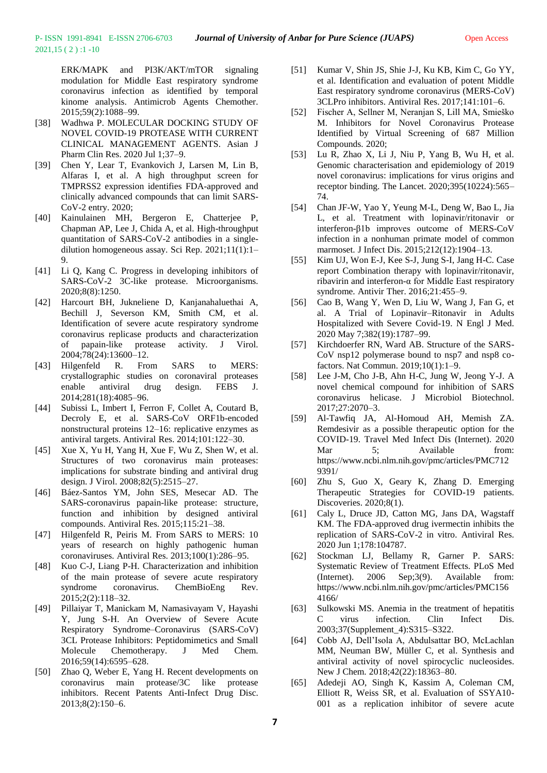ERK/MAPK and PI3K/AKT/mTOR signaling modulation for Middle East respiratory syndrome coronavirus infection as identified by temporal kinome analysis. Antimicrob Agents Chemother. 2015;59(2):1088–99.

- [38] Wadhwa P. MOLECULAR DOCKING STUDY OF NOVEL COVID-19 PROTEASE WITH CURRENT CLINICAL MANAGEMENT AGENTS. Asian J Pharm Clin Res. 2020 Jul 1;37–9.
- [39] Chen Y, Lear T, Evankovich J, Larsen M, Lin B, Alfaras I, et al. A high throughput screen for TMPRSS2 expression identifies FDA-approved and clinically advanced compounds that can limit SARS-CoV-2 entry. 2020;
- [40] Kainulainen MH, Bergeron E, Chatterjee P, Chapman AP, Lee J, Chida A, et al. High-throughput quantitation of SARS-CoV-2 antibodies in a singledilution homogeneous assay. Sci Rep. 2021;11(1):1– 9.
- [41] Li Q, Kang C. Progress in developing inhibitors of SARS-CoV-2 3C-like protease. Microorganisms. 2020;8(8):1250.
- [42] Harcourt BH, Jukneliene D, Kanjanahaluethai A, Bechill J, Severson KM, Smith CM, et al. Identification of severe acute respiratory syndrome coronavirus replicase products and characterization of papain-like protease activity. J Virol. 2004;78(24):13600–12.
- [43] Hilgenfeld R. From SARS to MERS: crystallographic studies on coronaviral proteases enable antiviral drug design. FEBS J. 2014;281(18):4085–96.
- [44] Subissi L, Imbert I, Ferron F, Collet A, Coutard B, Decroly E, et al. SARS-CoV ORF1b-encoded nonstructural proteins 12–16: replicative enzymes as antiviral targets. Antiviral Res. 2014;101:122–30.
- [45] Xue X, Yu H, Yang H, Xue F, Wu Z, Shen W, et al. Structures of two coronavirus main proteases: implications for substrate binding and antiviral drug design. J Virol. 2008;82(5):2515–27.
- [46] Báez-Santos YM, John SES, Mesecar AD. The SARS-coronavirus papain-like protease: structure, function and inhibition by designed antiviral compounds. Antiviral Res. 2015;115:21–38.
- [47] Hilgenfeld R, Peiris M. From SARS to MERS: 10 years of research on highly pathogenic human coronaviruses. Antiviral Res. 2013;100(1):286–95.
- [48] Kuo C-J, Liang P-H. Characterization and inhibition of the main protease of severe acute respiratory syndrome coronavirus. ChemBioEng Rev. 2015;2(2):118–32.
- [49] Pillaiyar T, Manickam M, Namasivayam V, Hayashi Y, Jung S-H. An Overview of Severe Acute Respiratory Syndrome–Coronavirus (SARS-CoV) 3CL Protease Inhibitors: Peptidomimetics and Small Molecule Chemotherapy. J Med Chem. 2016;59(14):6595–628.
- [50] Zhao Q, Weber E, Yang H. Recent developments on coronavirus main protease/3C like protease inhibitors. Recent Patents Anti-Infect Drug Disc. 2013;8(2):150–6.
- [51] Kumar V, Shin JS, Shie J-J, Ku KB, Kim C, Go YY, et al. Identification and evaluation of potent Middle East respiratory syndrome coronavirus (MERS-CoV) 3CLPro inhibitors. Antiviral Res. 2017;141:101–6.
- [52] Fischer A, Sellner M, Neranjan S, Lill MA, Smieško M. Inhibitors for Novel Coronavirus Protease Identified by Virtual Screening of 687 Million Compounds. 2020;
- [53] Lu R, Zhao X, Li J, Niu P, Yang B, Wu H, et al. Genomic characterisation and epidemiology of 2019 novel coronavirus: implications for virus origins and receptor binding. The Lancet. 2020;395(10224):565– 74.
- [54] Chan JF-W, Yao Y, Yeung M-L, Deng W, Bao L, Jia L, et al. Treatment with lopinavir/ritonavir or interferon-β1b improves outcome of MERS-CoV infection in a nonhuman primate model of common marmoset. J Infect Dis. 2015;212(12):1904–13.
- [55] Kim UJ, Won E-J, Kee S-J, Jung S-I, Jang H-C, Case report Combination therapy with lopinavir/ritonavir, ribavirin and interferon-α for Middle East respiratory syndrome. Antivir Ther. 2016;21:455–9.
- [56] Cao B, Wang Y, Wen D, Liu W, Wang J, Fan G, et al. A Trial of Lopinavir–Ritonavir in Adults Hospitalized with Severe Covid-19. N Engl J Med. 2020 May 7;382(19):1787–99.
- [57] Kirchdoerfer RN, Ward AB. Structure of the SARS-CoV nsp12 polymerase bound to nsp7 and nsp8 cofactors. Nat Commun. 2019;10(1):1–9.
- [58] Lee J-M, Cho J-B, Ahn H-C, Jung W, Jeong Y-J. A novel chemical compound for inhibition of SARS coronavirus helicase. J Microbiol Biotechnol. 2017;27:2070–3.
- [59] Al-Tawfiq JA, Al-Homoud AH, Memish ZA. Remdesivir as a possible therapeutic option for the COVID-19. Travel Med Infect Dis (Internet). 2020 Mar 5: Available from: https://www.ncbi.nlm.nih.gov/pmc/articles/PMC712 9391/
- [60] Zhu S, Guo X, Geary K, Zhang D. Emerging Therapeutic Strategies for COVID-19 patients. Discoveries. 2020;8(1).
- [61] Caly L, Druce JD, Catton MG, Jans DA, Wagstaff KM. The FDA-approved drug ivermectin inhibits the replication of SARS-CoV-2 in vitro. Antiviral Res. 2020 Jun 1;178:104787.
- [62] Stockman LJ, Bellamy R, Garner P. SARS: Systematic Review of Treatment Effects. PLoS Med (Internet). 2006 Sep;3(9). Available from: https://www.ncbi.nlm.nih.gov/pmc/articles/PMC156 4166/
- [63] Sulkowski MS. Anemia in the treatment of hepatitis C virus infection. Clin Infect Dis. 2003;37(Supplement\_4):S315–S322.
- [64] Cobb AJ, Dell'Isola A, Abdulsattar BO, McLachlan MM, Neuman BW, Müller C, et al. Synthesis and antiviral activity of novel spirocyclic nucleosides. New J Chem. 2018;42(22):18363–80.
- [65] Adedeji AO, Singh K, Kassim A, Coleman CM, Elliott R, Weiss SR, et al. Evaluation of SSYA10- 001 as a replication inhibitor of severe acute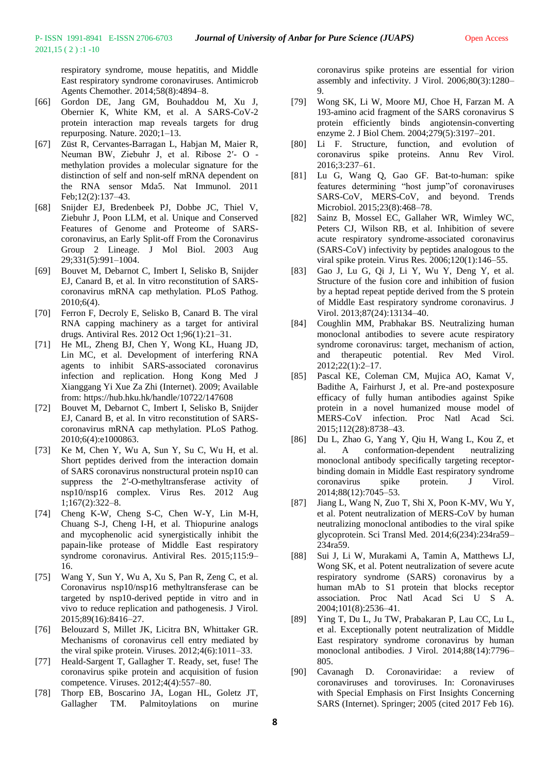respiratory syndrome, mouse hepatitis, and Middle East respiratory syndrome coronaviruses. Antimicrob Agents Chemother. 2014;58(8):4894–8.

- [66] Gordon DE, Jang GM, Bouhaddou M, Xu J, Obernier K, White KM, et al. A SARS-CoV-2 protein interaction map reveals targets for drug repurposing. Nature. 2020;1–13.
- [67] Züst R, Cervantes-Barragan L, Habjan M, Maier R, Neuman BW, Ziebuhr J, et al. Ribose 2′- O methylation provides a molecular signature for the distinction of self and non-self mRNA dependent on the RNA sensor Mda5. Nat Immunol. 2011 Feb;12(2):137–43.
- [68] Snijder EJ, Bredenbeek PJ, Dobbe JC, Thiel V, Ziebuhr J, Poon LLM, et al. Unique and Conserved Features of Genome and Proteome of SARScoronavirus, an Early Split-off From the Coronavirus Group 2 Lineage. J Mol Biol. 2003 Aug 29;331(5):991–1004.
- [69] Bouvet M, Debarnot C, Imbert I, Selisko B, Snijder EJ, Canard B, et al. In vitro reconstitution of SARScoronavirus mRNA cap methylation. PLoS Pathog. 2010;6(4).
- [70] Ferron F, Decroly E, Selisko B, Canard B. The viral RNA capping machinery as a target for antiviral drugs. Antiviral Res. 2012 Oct 1;96(1):21–31.
- [71] He ML, Zheng BJ, Chen Y, Wong KL, Huang JD, Lin MC, et al. Development of interfering RNA agents to inhibit SARS-associated coronavirus infection and replication. Hong Kong Med J Xianggang Yi Xue Za Zhi (Internet). 2009; Available from: https://hub.hku.hk/handle/10722/147608
- [72] Bouvet M, Debarnot C, Imbert I, Selisko B, Snijder EJ, Canard B, et al. In vitro reconstitution of SARScoronavirus mRNA cap methylation. PLoS Pathog. 2010;6(4):e1000863.
- [73] Ke M, Chen Y, Wu A, Sun Y, Su C, Wu H, et al. Short peptides derived from the interaction domain of SARS coronavirus nonstructural protein nsp10 can suppress the 2′-O-methyltransferase activity of nsp10/nsp16 complex. Virus Res. 2012 Aug 1;167(2):322–8.
- [74] Cheng K-W, Cheng S-C, Chen W-Y, Lin M-H, Chuang S-J, Cheng I-H, et al. Thiopurine analogs and mycophenolic acid synergistically inhibit the papain-like protease of Middle East respiratory syndrome coronavirus. Antiviral Res. 2015;115:9– 16.
- [75] Wang Y, Sun Y, Wu A, Xu S, Pan R, Zeng C, et al. Coronavirus nsp10/nsp16 methyltransferase can be targeted by nsp10-derived peptide in vitro and in vivo to reduce replication and pathogenesis. J Virol. 2015;89(16):8416–27.
- [76] Belouzard S, Millet JK, Licitra BN, Whittaker GR. Mechanisms of coronavirus cell entry mediated by the viral spike protein. Viruses. 2012;4(6):1011–33.
- [77] Heald-Sargent T, Gallagher T. Ready, set, fuse! The coronavirus spike protein and acquisition of fusion competence. Viruses. 2012;4(4):557–80.
- [78] Thorp EB, Boscarino JA, Logan HL, Goletz JT, Gallagher TM. Palmitoylations on murine

coronavirus spike proteins are essential for virion assembly and infectivity. J Virol. 2006;80(3):1280– 9.

- [79] Wong SK, Li W, Moore MJ, Choe H, Farzan M. A 193-amino acid fragment of the SARS coronavirus S protein efficiently binds angiotensin-converting enzyme 2. J Biol Chem. 2004;279(5):3197–201.
- [80] Li F. Structure, function, and evolution of coronavirus spike proteins. Annu Rev Virol. 2016;3:237–61.
- [81] Lu G, Wang Q, Gao GF. Bat-to-human: spike features determining "host jump"of coronaviruses SARS-CoV, MERS-CoV, and beyond. Trends Microbiol. 2015;23(8):468–78.
- [82] Sainz B, Mossel EC, Gallaher WR, Wimley WC, Peters CJ, Wilson RB, et al. Inhibition of severe acute respiratory syndrome-associated coronavirus (SARS-CoV) infectivity by peptides analogous to the viral spike protein. Virus Res. 2006;120(1):146–55.
- [83] Gao J, Lu G, Qi J, Li Y, Wu Y, Deng Y, et al. Structure of the fusion core and inhibition of fusion by a heptad repeat peptide derived from the S protein of Middle East respiratory syndrome coronavirus. J Virol. 2013;87(24):13134–40.
- [84] Coughlin MM, Prabhakar BS. Neutralizing human monoclonal antibodies to severe acute respiratory syndrome coronavirus: target, mechanism of action, and therapeutic potential. Rev Med Virol. 2012;22(1):2–17.
- [85] Pascal KE, Coleman CM, Mujica AO, Kamat V, Badithe A, Fairhurst J, et al. Pre-and postexposure efficacy of fully human antibodies against Spike protein in a novel humanized mouse model of MERS-CoV infection. Proc Natl Acad Sci. 2015;112(28):8738–43.
- [86] Du L, Zhao G, Yang Y, Qiu H, Wang L, Kou Z, et al. A conformation-dependent neutralizing monoclonal antibody specifically targeting receptorbinding domain in Middle East respiratory syndrome coronavirus spike protein. J Virol. 2014;88(12):7045–53.
- [87] Jiang L, Wang N, Zuo T, Shi X, Poon K-MV, Wu Y, et al. Potent neutralization of MERS-CoV by human neutralizing monoclonal antibodies to the viral spike glycoprotein. Sci Transl Med. 2014;6(234):234ra59– 234ra59.
- [88] Sui J, Li W, Murakami A, Tamin A, Matthews LJ, Wong SK, et al. Potent neutralization of severe acute respiratory syndrome (SARS) coronavirus by a human mAb to S1 protein that blocks receptor association. Proc Natl Acad Sci U S A. 2004;101(8):2536–41.
- [89] Ying T, Du L, Ju TW, Prabakaran P, Lau CC, Lu L, et al. Exceptionally potent neutralization of Middle East respiratory syndrome coronavirus by human monoclonal antibodies. J Virol. 2014;88(14):7796– 805.
- [90] Cavanagh D. Coronaviridae: a review of coronaviruses and toroviruses. In: Coronaviruses with Special Emphasis on First Insights Concerning SARS (Internet). Springer; 2005 (cited 2017 Feb 16).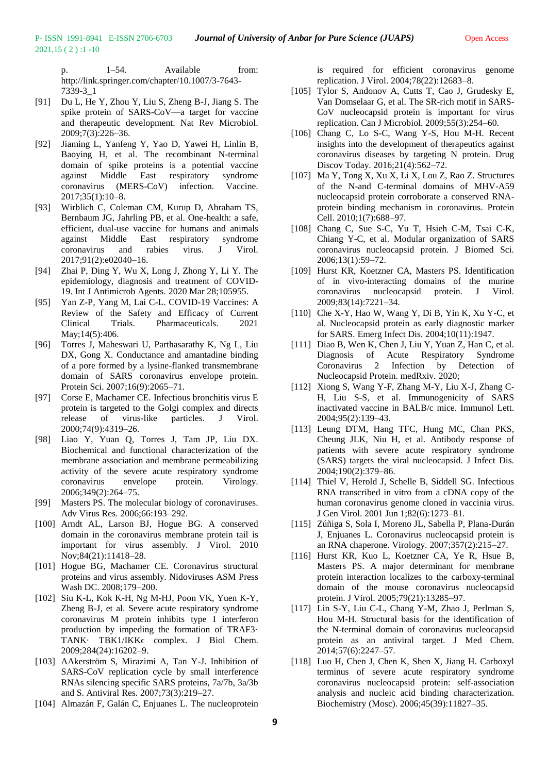p.  $1-54$ . Available from: http://link.springer.com/chapter/10.1007/3-7643- 7339-3\_1

[91] Du L, He Y, Zhou Y, Liu S, Zheng B-J, Jiang S. The spike protein of SARS-CoV—a target for vaccine and therapeutic development. Nat Rev Microbiol. 2009;7(3):226–36.

2021,15 ( 2 ) :1 -10

- [92] Jiaming L, Yanfeng Y, Yao D, Yawei H, Linlin B, Baoying H, et al. The recombinant N-terminal domain of spike proteins is a potential vaccine against Middle East respiratory syndrome coronavirus (MERS-CoV) infection. Vaccine. 2017;35(1):10–8.
- [93] Wirblich C, Coleman CM, Kurup D, Abraham TS, Bernbaum JG, Jahrling PB, et al. One-health: a safe, efficient, dual-use vaccine for humans and animals against Middle East respiratory syndrome coronavirus and rabies virus. J Virol. 2017;91(2):e02040–16.
- [94] Zhai P, Ding Y, Wu X, Long J, Zhong Y, Li Y. The epidemiology, diagnosis and treatment of COVID-19. Int J Antimicrob Agents. 2020 Mar 28;105955.
- [95] Yan Z-P, Yang M, Lai C-L. COVID-19 Vaccines: A Review of the Safety and Efficacy of Current Clinical Trials. Pharmaceuticals. 2021 May;14(5):406.
- [96] Torres J, Maheswari U, Parthasarathy K, Ng L, Liu DX, Gong X. Conductance and amantadine binding of a pore formed by a lysine-flanked transmembrane domain of SARS coronavirus envelope protein. Protein Sci. 2007;16(9):2065–71.
- [97] Corse E, Machamer CE. Infectious bronchitis virus E protein is targeted to the Golgi complex and directs release of virus-like particles. J Virol. 2000;74(9):4319–26.
- [98] Liao Y, Yuan Q, Torres J, Tam JP, Liu DX. Biochemical and functional characterization of the membrane association and membrane permeabilizing activity of the severe acute respiratory syndrome coronavirus envelope protein. Virology. 2006;349(2):264–75.
- [99] Masters PS. The molecular biology of coronaviruses. Adv Virus Res. 2006;66:193–292.
- [100] Arndt AL, Larson BJ, Hogue BG. A conserved domain in the coronavirus membrane protein tail is important for virus assembly. J Virol. 2010 Nov;84(21):11418–28.
- [101] Hogue BG, Machamer CE. Coronavirus structural proteins and virus assembly. Nidoviruses ASM Press Wash DC. 2008;179–200.
- [102] Siu K-L, Kok K-H, Ng M-HJ, Poon VK, Yuen K-Y, Zheng B-J, et al. Severe acute respiratory syndrome coronavirus M protein inhibits type I interferon production by impeding the formation of TRAF3· TANK· TBK1/IKK∈ complex. J Biol Chem. 2009;284(24):16202–9.
- [103] AAkerström S, Mirazimi A, Tan Y-J. Inhibition of SARS-CoV replication cycle by small interference RNAs silencing specific SARS proteins, 7a/7b, 3a/3b and S. Antiviral Res. 2007;73(3):219–27.
- [104] Almazán F, Galán C, Enjuanes L. The nucleoprotein

is required for efficient coronavirus genome replication. J Virol. 2004;78(22):12683–8.

- [105] Tylor S, Andonov A, Cutts T, Cao J, Grudesky E, Van Domselaar G, et al. The SR-rich motif in SARS-CoV nucleocapsid protein is important for virus replication. Can J Microbiol. 2009;55(3):254–60.
- [106] Chang C, Lo S-C, Wang Y-S, Hou M-H. Recent insights into the development of therapeutics against coronavirus diseases by targeting N protein. Drug Discov Today. 2016;21(4):562–72.
- [107] Ma Y, Tong X, Xu X, Li X, Lou Z, Rao Z. Structures of the N-and C-terminal domains of MHV-A59 nucleocapsid protein corroborate a conserved RNAprotein binding mechanism in coronavirus. Protein Cell. 2010;1(7):688–97.
- [108] Chang C, Sue S-C, Yu T, Hsieh C-M, Tsai C-K, Chiang Y-C, et al. Modular organization of SARS coronavirus nucleocapsid protein. J Biomed Sci. 2006;13(1):59–72.
- [109] Hurst KR, Koetzner CA, Masters PS. Identification of in vivo-interacting domains of the murine coronavirus nucleocapsid protein. J Virol. 2009;83(14):7221–34.
- [110] Che X-Y, Hao W, Wang Y, Di B, Yin K, Xu Y-C, et al. Nucleocapsid protein as early diagnostic marker for SARS. Emerg Infect Dis. 2004;10(11):1947.
- [111] Diao B, Wen K, Chen J, Liu Y, Yuan Z, Han C, et al. Diagnosis of Acute Respiratory Syndrome Coronavirus 2 Infection by Detection of Nucleocapsid Protein. medRxiv. 2020;
- [112] Xiong S, Wang Y-F, Zhang M-Y, Liu X-J, Zhang C-H, Liu S-S, et al. Immunogenicity of SARS inactivated vaccine in BALB/c mice. Immunol Lett. 2004;95(2):139–43.
- [113] Leung DTM, Hang TFC, Hung MC, Chan PKS, Cheung JLK, Niu H, et al. Antibody response of patients with severe acute respiratory syndrome (SARS) targets the viral nucleocapsid. J Infect Dis. 2004;190(2):379–86.
- [114] Thiel V, Herold J, Schelle B, Siddell SG. Infectious RNA transcribed in vitro from a cDNA copy of the human coronavirus genome cloned in vaccinia virus. J Gen Virol. 2001 Jun 1;82(6):1273–81.
- [115] Zúñiga S, Sola I, Moreno JL, Sabella P, Plana-Durán J, Enjuanes L. Coronavirus nucleocapsid protein is an RNA chaperone. Virology. 2007;357(2):215–27.
- [116] Hurst KR, Kuo L, Koetzner CA, Ye R, Hsue B, Masters PS. A major determinant for membrane protein interaction localizes to the carboxy-terminal domain of the mouse coronavirus nucleocapsid protein. J Virol. 2005;79(21):13285–97.
- [117] Lin S-Y, Liu C-L, Chang Y-M, Zhao J, Perlman S, Hou M-H. Structural basis for the identification of the N-terminal domain of coronavirus nucleocapsid protein as an antiviral target. J Med Chem. 2014;57(6):2247–57.
- [118] Luo H, Chen J, Chen K, Shen X, Jiang H. Carboxyl terminus of severe acute respiratory syndrome coronavirus nucleocapsid protein: self-association analysis and nucleic acid binding characterization. Biochemistry (Mosc). 2006;45(39):11827–35.